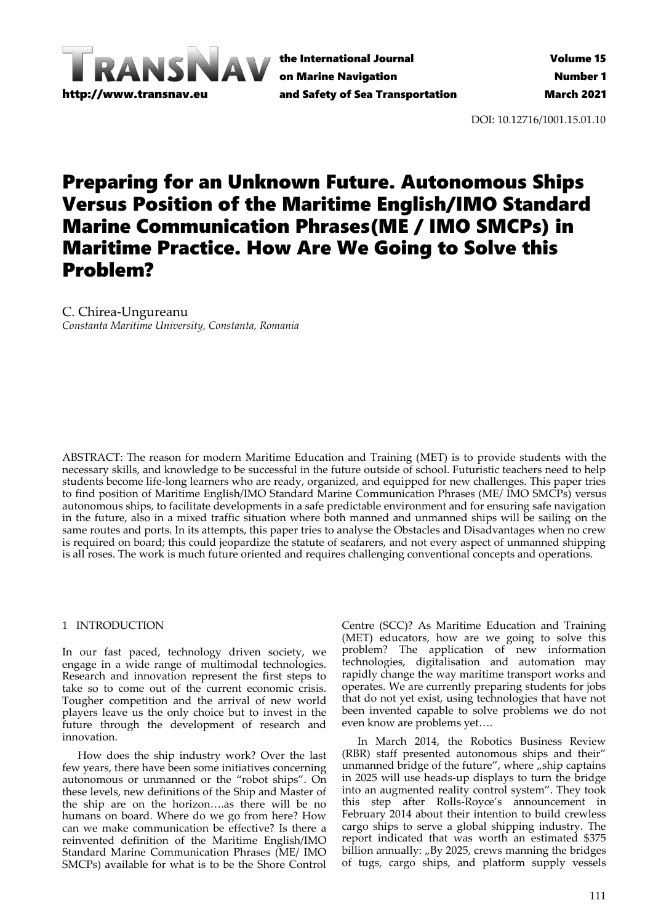

DOI: 10.12716/1001.15.01.10

# Preparing for an Unknown Future. Autonomous Ships Versus Position of the Maritime English/IMO Standard Marine Communication Phrases(ME / IMO SMCPs) in Maritime Practice. How Are We Going to Solve this Problem?

C. Chirea-Ungureanu *Constanta Maritime University, Constanta, Romania*

ABSTRACT: The reason for modern Maritime Education and Training (MET) is to provide students with the necessary skills, and knowledge to be successful in the future outside of school. Futuristic teachers need to help students become life-long learners who are ready, organized, and equipped for new challenges. This paper tries to find position of Maritime English/IMO Standard Marine Communication Phrases (ME/ IMO SMCPs) versus autonomous ships, to facilitate developments in a safe predictable environment and for ensuring safe navigation in the future, also in a mixed traffic situation where both manned and unmanned ships will be sailing on the same routes and ports. In its attempts, this paper tries to analyse the Obstacles and Disadvantages when no crew is required on board; this could jeopardize the statute of seafarers, and not every aspect of unmanned shipping is all roses. The work is much future oriented and requires challenging conventional concepts and operations.

### 1 INTRODUCTION

In our fast paced, technology driven society, we engage in a wide range of multimodal technologies. Research and innovation represent the first steps to take so to come out of the current economic crisis. Tougher competition and the arrival of new world players leave us the only choice but to invest in the future through the development of research and innovation.

How does the ship industry work? Over the last few years, there have been some initiatives concerning autonomous or unmanned or the "robot ships". On these levels, new definitions of the Ship and Master of the ship are on the horizon….as there will be no humans on board. Where do we go from here? How can we make communication be effective? Is there a reinvented definition of the Maritime English/IMO Standard Marine Communication Phrases (ME/ IMO SMCPs) available for what is to be the Shore Control

Centre (SCC)? As Maritime Education and Training (MET) educators, how are we going to solve this problem? The application of new information technologies, digitalisation and automation may rapidly change the way maritime transport works and operates. We are currently preparing students for jobs that do not yet exist, using technologies that have not been invented capable to solve problems we do not even know are problems yet….

In March 2014, the Robotics Business Review (RBR) staff presented autonomous ships and their" unmanned bridge of the future", where  $\phi$ ship captains in 2025 will use heads-up displays to turn the bridge into an augmented reality control system". They took this step after Rolls-Royce's announcement in February 2014 about their intention to build crewless cargo ships to serve a global shipping industry. The report indicated that was worth an estimated \$375 billion annually: "By 2025, crews manning the bridges of tugs, cargo ships, and platform supply vessels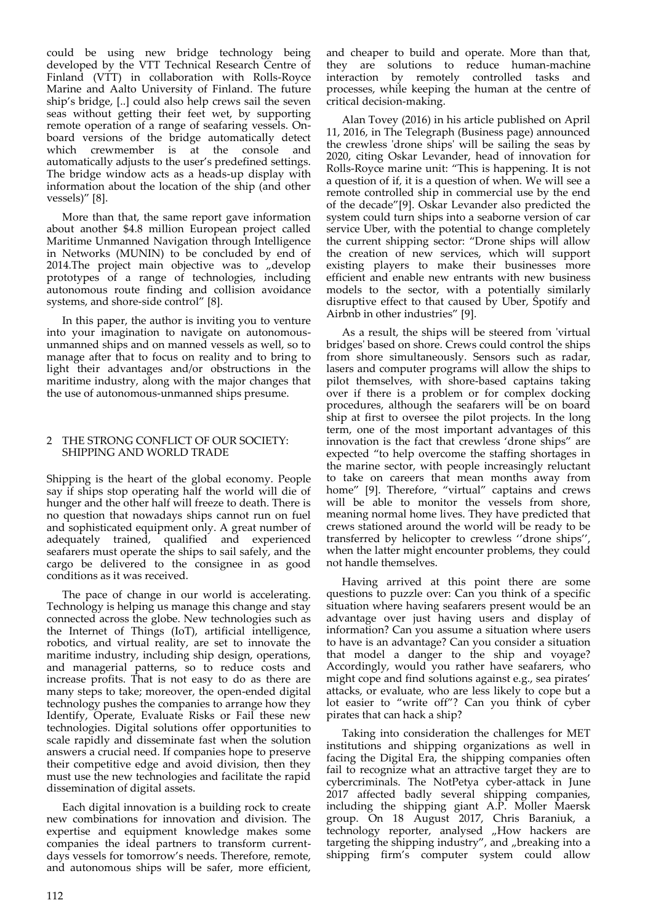could be using new bridge technology being developed by the VTT Technical Research Centre of Finland (VTT) in collaboration with Rolls-Royce Marine and Aalto University of Finland. The future ship's bridge, [..] could also help crews sail the seven seas without getting their feet wet, by supporting remote operation of a range of seafaring vessels. Onboard versions of the bridge automatically detect which crewmember is at the console and automatically adjusts to the user's predefined settings. The bridge window acts as a heads-up display with information about the location of the ship (and other vessels)" [8].

More than that, the same report gave information about another \$4.8 million European project called Maritime Unmanned Navigation through Intelligence in Networks (MUNIN) to be concluded by end of 2014.The project main objective was to  $n$  develop prototypes of a range of technologies, including autonomous route finding and collision avoidance systems, and shore-side control" [8].

In this paper, the author is inviting you to venture into your imagination to navigate on autonomousunmanned ships and on manned vessels as well, so to manage after that to focus on reality and to bring to light their advantages and/or obstructions in the maritime industry, along with the major changes that the use of autonomous-unmanned ships presume.

## 2 THE STRONG CONFLICT OF OUR SOCIETY: SHIPPING AND WORLD TRADE

Shipping is the heart of the global economy. People say if ships stop operating half the world will die of hunger and the other half will freeze to death. There is no question that nowadays ships cannot run on fuel and sophisticated equipment only. A great number of adequately trained, qualified and experienced seafarers must operate the ships to sail safely, and the cargo be delivered to the consignee in as good conditions as it was received.

The pace of change in our world is accelerating. Technology is helping us manage this change and stay connected across the globe. New technologies such as the Internet of Things (IoT), artificial intelligence, robotics, and virtual reality, are set to innovate the maritime industry, including ship design, operations, and managerial patterns, so to reduce costs and increase profits. That is not easy to do as there are many steps to take; moreover, the open-ended digital technology pushes the companies to arrange how they Identify, Operate, Evaluate Risks or Fail these new technologies. Digital solutions offer opportunities to scale rapidly and disseminate fast when the solution answers a crucial need. If companies hope to preserve their competitive edge and avoid division, then they must use the new technologies and facilitate the rapid dissemination of digital assets.

Each digital innovation is a building rock to create new combinations for innovation and division. The expertise and equipment knowledge makes some companies the ideal partners to transform currentdays vessels for tomorrow's needs. Therefore, remote, and autonomous ships will be safer, more efficient,

and cheaper to build and operate. More than that, they are solutions to reduce human-machine interaction by remotely controlled tasks and processes, while keeping the human at the centre of critical decision-making.

Alan Tovey (2016) in his article published on April 11, 2016, in The Telegraph (Business page) announced the crewless 'drone ships' will be sailing the seas by 2020, citing Oskar Levander, head of innovation for Rolls-Royce marine unit: "This is happening. It is not a question of if, it is a question of when. We will see a remote controlled ship in commercial use by the end of the decade"[9]. Oskar Levander also predicted the system could turn ships into a seaborne version of car service Uber, with the potential to change completely the current shipping sector: "Drone ships will allow the creation of new services, which will support existing players to make their businesses more efficient and enable new entrants with new business models to the sector, with a potentially similarly disruptive effect to that caused by Uber, Spotify and Airbnb in other industries" [9].

As a result, the ships will be steered from 'virtual bridges' based on shore. Crews could control the ships from shore simultaneously. Sensors such as radar, lasers and computer programs will allow the ships to pilot themselves, with shore-based captains taking over if there is a problem or for complex docking procedures, although the seafarers will be on board ship at first to oversee the pilot projects. In the long term, one of the most important advantages of this innovation is the fact that crewless 'drone ships" are expected "to help overcome the staffing shortages in the marine sector, with people increasingly reluctant to take on careers that mean months away from home" [9]. Therefore, "virtual" captains and crews will be able to monitor the vessels from shore, meaning normal home lives. They have predicted that crews stationed around the world will be ready to be transferred by helicopter to crewless ''drone ships'', when the latter might encounter problems, they could not handle themselves.

Having arrived at this point there are some questions to puzzle over: Can you think of a specific situation where having seafarers present would be an advantage over just having users and display of information? Can you assume a situation where users to have is an advantage? Can you consider a situation that model a danger to the ship and voyage? Accordingly, would you rather have seafarers, who might cope and find solutions against e.g., sea pirates' attacks, or evaluate, who are less likely to cope but a lot easier to "write off"? Can you think of cyber pirates that can hack a ship?

Taking into consideration the challenges for MET institutions and shipping organizations as well in facing the Digital Era, the shipping companies often fail to recognize what an attractive target they are to cybercriminals. The NotPetya cyber-attack in June 2017 affected badly several shipping companies, including the shipping giant A.P. Moller Maersk group. On 18 August 2017, Chris Baraniuk, a technology reporter, analysed "How hackers are targeting the shipping industry", and "breaking into a shipping firm's computer system could allow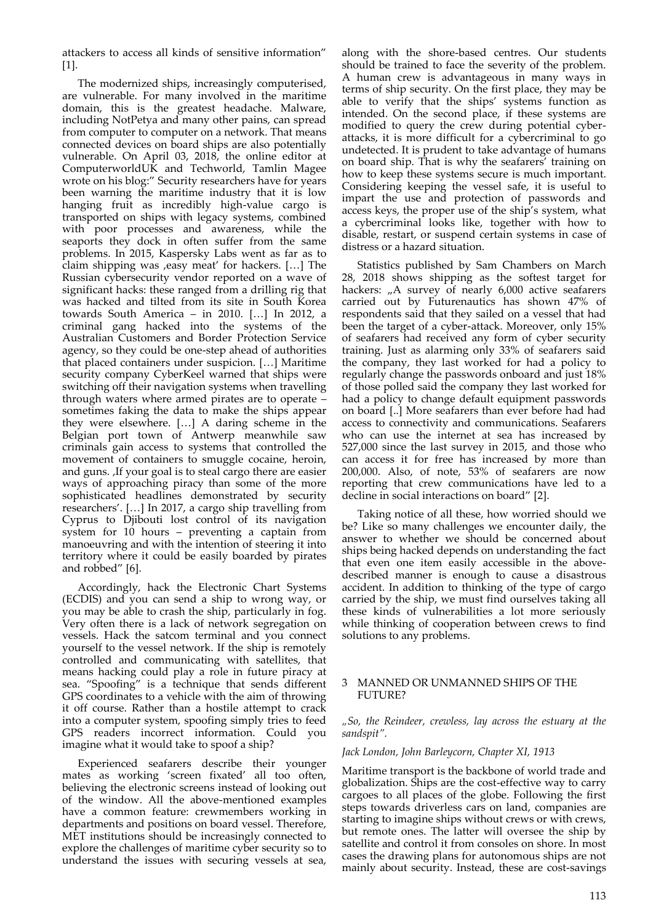attackers to access all kinds of sensitive information" [1].

The modernized ships, increasingly computerised, are vulnerable. For many involved in the maritime domain, this is the greatest headache. Malware, including NotPetya and many other pains, can spread from computer to computer on a network. That means connected devices on board ships are also potentially vulnerable. On April 03, 2018, the online editor at ComputerworldUK and Techworld, Tamlin Magee wrote on his blog:" Security researchers have for years been warning the maritime industry that it is low hanging fruit as incredibly high-value cargo is transported on ships with legacy systems, combined with poor processes and awareness, while the seaports they dock in often suffer from the same problems. In 2015, Kaspersky Labs went as far as to claim shipping was , easy meat' for hackers. [...] The Russian cybersecurity vendor reported on a wave of significant hacks: these ranged from a drilling rig that was hacked and tilted from its site in South Korea towards South America – in 2010. […] In 2012, a criminal gang hacked into the systems of the Australian Customers and Border Protection Service agency, so they could be one-step ahead of authorities that placed containers under suspicion. […] Maritime security company CyberKeel warned that ships were switching off their navigation systems when travelling through waters where armed pirates are to operate – sometimes faking the data to make the ships appear they were elsewhere. […] A daring scheme in the Belgian port town of Antwerp meanwhile saw criminals gain access to systems that controlled the movement of containers to smuggle cocaine, heroin, and guns. , If your goal is to steal cargo there are easier ways of approaching piracy than some of the more sophisticated headlines demonstrated by security researchers'. […] In 2017, a cargo ship travelling from Cyprus to Djibouti lost control of its navigation system for 10 hours – preventing a captain from manoeuvring and with the intention of steering it into territory where it could be easily boarded by pirates and robbed" [6].

Accordingly, hack the Electronic Chart Systems (ECDIS) and you can send a ship to wrong way, or you may be able to crash the ship, particularly in fog. Very often there is a lack of network segregation on vessels. Hack the satcom terminal and you connect yourself to the vessel network. If the ship is remotely controlled and communicating with satellites, that means hacking could play a role in future piracy at sea. "Spoofing" is a technique that sends different GPS coordinates to a vehicle with the aim of throwing it off course. Rather than a hostile attempt to crack into a computer system, spoofing simply tries to feed GPS readers incorrect information. Could you imagine what it would take to spoof a ship?

Experienced seafarers describe their younger mates as working 'screen fixated' all too often, believing the electronic screens instead of looking out of the window. All the above-mentioned examples have a common feature: crewmembers working in departments and positions on board vessel. Therefore, MET institutions should be increasingly connected to explore the challenges of maritime cyber security so to understand the issues with securing vessels at sea,

along with the shore-based centres. Our students should be trained to face the severity of the problem. A human crew is advantageous in many ways in terms of ship security. On the first place, they may be able to verify that the ships' systems function as intended. On the second place, if these systems are modified to query the crew during potential cyberattacks, it is more difficult for a cybercriminal to go undetected. It is prudent to take advantage of humans on board ship. That is why the seafarers' training on how to keep these systems secure is much important. Considering keeping the vessel safe, it is useful to impart the use and protection of passwords and access keys, the proper use of the ship's system, what a cybercriminal looks like, together with how to disable, restart, or suspend certain systems in case of distress or a hazard situation.

Statistics published by Sam Chambers on March 28, 2018 shows shipping as the softest target for hackers: "A survey of nearly 6,000 active seafarers carried out by Futurenautics has shown 47% of respondents said that they sailed on a vessel that had been the target of a cyber-attack. Moreover, only 15% of seafarers had received any form of cyber security training. Just as alarming only 33% of seafarers said the company, they last worked for had a policy to regularly change the passwords onboard and just 18% of those polled said the company they last worked for had a policy to change default equipment passwords on board [..] More seafarers than ever before had had access to connectivity and communications. Seafarers who can use the internet at sea has increased by 527,000 since the last survey in 2015, and those who can access it for free has increased by more than 200,000. Also, of note, 53% of seafarers are now reporting that crew communications have led to a decline in social interactions on board" [2].

Taking notice of all these, how worried should we be? Like so many challenges we encounter daily, the answer to whether we should be concerned about ships being hacked depends on understanding the fact that even one item easily accessible in the abovedescribed manner is enough to cause a disastrous accident. In addition to thinking of the type of cargo carried by the ship, we must find ourselves taking all these kinds of vulnerabilities a lot more seriously while thinking of cooperation between crews to find solutions to any problems.

## 3 MANNED OR UNMANNED SHIPS OF THE FUTURE?

*"So, the Reindeer, crewless, lay across the estuary at the sandspit".*

## *Jack London, John Barleycorn, Chapter XI, 1913*

Maritime transport is the backbone of world trade and globalization. Ships are the cost-effective way to carry cargoes to all places of the globe. Following the first steps towards driverless cars on land, companies are starting to imagine ships without crews or with crews, but remote ones. The latter will oversee the ship by satellite and control it from consoles on shore. In most cases the drawing plans for autonomous ships are not mainly about security. Instead, these are cost-savings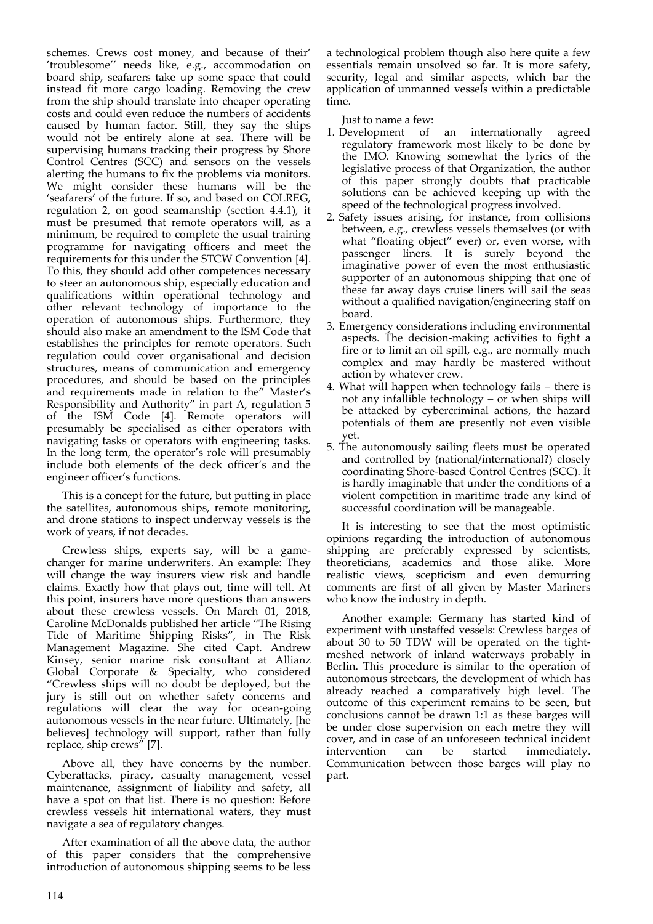schemes. Crews cost money, and because of their' 'troublesome'' needs like, e.g., accommodation on board ship, seafarers take up some space that could instead fit more cargo loading. Removing the crew from the ship should translate into cheaper operating costs and could even reduce the numbers of accidents caused by human factor. Still, they say the ships would not be entirely alone at sea. There will be supervising humans tracking their progress by Shore Control Centres (SCC) and sensors on the vessels alerting the humans to fix the problems via monitors. We might consider these humans will be the 'seafarers' of the future. If so, and based on COLREG, regulation 2, on good seamanship (section 4.4.1), it must be presumed that remote operators will, as a minimum, be required to complete the usual training programme for navigating officers and meet the requirements for this under the STCW Convention [4]. To this, they should add other competences necessary to steer an autonomous ship, especially education and qualifications within operational technology and other relevant technology of importance to the operation of autonomous ships. Furthermore, they should also make an amendment to the ISM Code that establishes the principles for remote operators. Such regulation could cover organisational and decision structures, means of communication and emergency procedures, and should be based on the principles and requirements made in relation to the" Master's Responsibility and Authority" in part A, regulation 5 of the ISM Code [4]. Remote operators will presumably be specialised as either operators with navigating tasks or operators with engineering tasks. In the long term, the operator's role will presumably include both elements of the deck officer's and the engineer officer's functions.

This is a concept for the future, but putting in place the satellites, autonomous ships, remote monitoring, and drone stations to inspect underway vessels is the work of years, if not decades.

Crewless ships, experts say, will be a gamechanger for marine underwriters. An example: They will change the way insurers view risk and handle claims. Exactly how that plays out, time will tell. At this point, insurers have more questions than answers about these crewless vessels. On March 01, 2018, Caroline McDonalds published her article "The Rising Tide of Maritime Shipping Risks", in The Risk Management Magazine. She cited Capt. Andrew Kinsey, senior marine risk consultant at Allianz Global Corporate & Specialty, who considered "Crewless ships will no doubt be deployed, but the jury is still out on whether safety concerns and regulations will clear the way for ocean-going autonomous vessels in the near future. Ultimately, [he believes] technology will support, rather than fully replace, ship crews" [7].

Above all, they have concerns by the number. Cyberattacks, piracy, casualty management, vessel maintenance, assignment of liability and safety, all have a spot on that list. There is no question: Before crewless vessels hit international waters, they must navigate a sea of regulatory changes.

After examination of all the above data, the author of this paper considers that the comprehensive introduction of autonomous shipping seems to be less a technological problem though also here quite a few essentials remain unsolved so far. It is more safety, security, legal and similar aspects, which bar the application of unmanned vessels within a predictable time.

Just to name a few:

- 1. Development of an internationally agreed regulatory framework most likely to be done by the IMO. Knowing somewhat the lyrics of the legislative process of that Organization, the author of this paper strongly doubts that practicable solutions can be achieved keeping up with the speed of the technological progress involved.
- 2. Safety issues arising, for instance, from collisions between, e.g., crewless vessels themselves (or with what "floating object" ever) or, even worse, with passenger liners. It is surely beyond the imaginative power of even the most enthusiastic supporter of an autonomous shipping that one of these far away days cruise liners will sail the seas without a qualified navigation/engineering staff on board.
- 3. Emergency considerations including environmental aspects. The decision-making activities to fight a fire or to limit an oil spill, e.g., are normally much complex and may hardly be mastered without action by whatever crew.
- 4. What will happen when technology fails there is not any infallible technology – or when ships will be attacked by cybercriminal actions, the hazard potentials of them are presently not even visible yet.
- 5. The autonomously sailing fleets must be operated and controlled by (national/international?) closely coordinating Shore-based Control Centres (SCC). It is hardly imaginable that under the conditions of a violent competition in maritime trade any kind of successful coordination will be manageable.

It is interesting to see that the most optimistic opinions regarding the introduction of autonomous shipping are preferably expressed by scientists, theoreticians, academics and those alike. More realistic views, scepticism and even demurring comments are first of all given by Master Mariners who know the industry in depth.

Another example: Germany has started kind of experiment with unstaffed vessels: Crewless barges of about 30 to 50 TDW will be operated on the tightmeshed network of inland waterways probably in Berlin. This procedure is similar to the operation of autonomous streetcars, the development of which has already reached a comparatively high level. The outcome of this experiment remains to be seen, but conclusions cannot be drawn 1:1 as these barges will be under close supervision on each metre they will cover, and in case of an unforeseen technical incident intervention can be started immediately. Communication between those barges will play no part.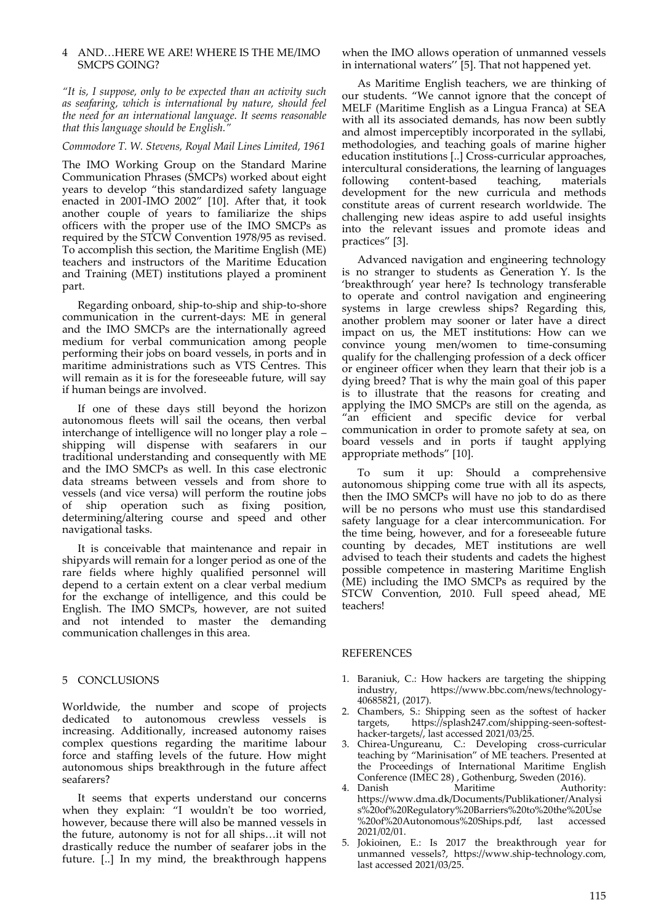## 4 AND…HERE WE ARE! WHERE IS THE ME/IMO SMCPS GOING?

*"It is, I suppose, only to be expected than an activity such as seafaring, which is international by nature, should feel the need for an international language. It seems reasonable that this language should be English."*

*Commodore T. W. Stevens, Royal Mail Lines Limited, 1961*

The IMO Working Group on the Standard Marine Communication Phrases (SMCPs) worked about eight years to develop "this standardized safety language enacted in 2001-IMO 2002" [10]. After that, it took another couple of years to familiarize the ships officers with the proper use of the IMO SMCPs as required by the STCW Convention 1978/95 as revised. To accomplish this section, the Maritime English (ME) teachers and instructors of the Maritime Education and Training (MET) institutions played a prominent part.

Regarding onboard, ship-to-ship and ship-to-shore communication in the current-days: ME in general and the IMO SMCPs are the internationally agreed medium for verbal communication among people performing their jobs on board vessels, in ports and in maritime administrations such as VTS Centres. This will remain as it is for the foreseeable future, will say if human beings are involved.

If one of these days still beyond the horizon autonomous fleets will sail the oceans, then verbal interchange of intelligence will no longer play a role – shipping will dispense with seafarers in our traditional understanding and consequently with ME and the IMO SMCPs as well. In this case electronic data streams between vessels and from shore to vessels (and vice versa) will perform the routine jobs of ship operation such as fixing position, determining/altering course and speed and other navigational tasks.

It is conceivable that maintenance and repair in shipyards will remain for a longer period as one of the rare fields where highly qualified personnel will depend to a certain extent on a clear verbal medium for the exchange of intelligence, and this could be English. The IMO SMCPs, however, are not suited and not intended to master the demanding communication challenges in this area.

### 5 CONCLUSIONS

Worldwide, the number and scope of projects dedicated to autonomous crewless vessels is increasing. Additionally, increased autonomy raises complex questions regarding the maritime labour force and staffing levels of the future. How might autonomous ships breakthrough in the future affect seafarers?

It seems that experts understand our concerns when they explain: "I wouldn't be too worried, however, because there will also be manned vessels in the future, autonomy is not for all ships…it will not drastically reduce the number of seafarer jobs in the future. [..] In my mind, the breakthrough happens

when the IMO allows operation of unmanned vessels in international waters'' [5]. That not happened yet.

As Maritime English teachers, we are thinking of our students. "We cannot ignore that the concept of MELF (Maritime English as a Lingua Franca) at SEA with all its associated demands, has now been subtly and almost imperceptibly incorporated in the syllabi, methodologies, and teaching goals of marine higher education institutions [..] Cross-curricular approaches, intercultural considerations, the learning of languages following content-based teaching, materials content-based teaching, materials development for the new curricula and methods constitute areas of current research worldwide. The challenging new ideas aspire to add useful insights into the relevant issues and promote ideas and practices" [3].

Advanced navigation and engineering technology is no stranger to students as Generation Y. Is the 'breakthrough' year here? Is technology transferable to operate and control navigation and engineering systems in large crewless ships? Regarding this, another problem may sooner or later have a direct impact on us, the MET institutions: How can we convince young men/women to time-consuming qualify for the challenging profession of a deck officer or engineer officer when they learn that their job is a dying breed? That is why the main goal of this paper is to illustrate that the reasons for creating and applying the IMO SMCPs are still on the agenda, as "an efficient and specific device for verbal communication in order to promote safety at sea, on board vessels and in ports if taught applying appropriate methods" [10].

To sum it up: Should a comprehensive autonomous shipping come true with all its aspects, then the IMO SMCPs will have no job to do as there will be no persons who must use this standardised safety language for a clear intercommunication. For the time being, however, and for a foreseeable future counting by decades, MET institutions are well advised to teach their students and cadets the highest possible competence in mastering Maritime English (ME) including the IMO SMCPs as required by the STCW Convention, 2010. Full speed ahead, ME teachers!

### REFERENCES

- 1. Baraniuk, C.: How hackers are targeting the shipping industry, https://www.bbc.com/news/technologyhttps://www.bbc.com/news/technology-40685821, (2017).
- 2. Chambers, S.: Shipping seen as the softest of hacker targets, https://splash247.com/shipping-seen-softesthacker-targets/, last accessed 2021/03/25.
- 3. Chirea-Ungureanu, C.: Developing cross-curricular teaching by "Marinisation" of ME teachers. Presented at the Proceedings of International Maritime English Conference (IMEC 28) , Gothenburg, Sweden (2016).
- 4. Danish https://www.dma.dk/Documents/Publikationer/Analysi s%20of%20Regulatory%20Barriers%20to%20the%20Use %20of%20Autonomous%20Ships.pdf, last accessed 2021/02/01.
- 5. Jokioinen, E.: Is 2017 the breakthrough year for unmanned vessels?, https://www.ship-technology.com, last accessed 2021/03/25.